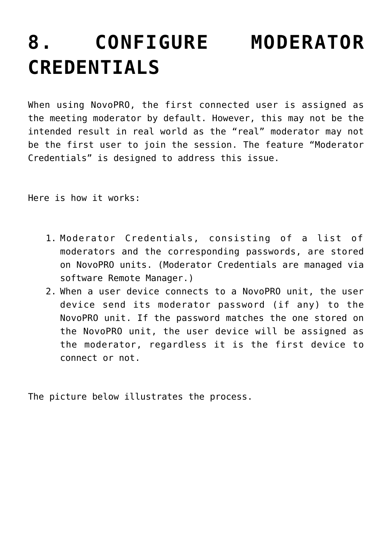## **[8. CONFIGURE MODERATOR](https://support.launchnovo.com/kb/configure-moderator-credentials/) [CREDENTIALS](https://support.launchnovo.com/kb/configure-moderator-credentials/)**

When using NovoPRO, the first connected user is assigned as the meeting moderator by default. However, this may not be the intended result in real world as the "real" moderator may not be the first user to join the session. The feature "Moderator Credentials" is designed to address this issue.

Here is how it works:

- 1. Moderator Credentials, consisting of a list of moderators and the corresponding passwords, are stored on NovoPRO units. (Moderator Credentials are managed via software Remote Manager.)
- 2. When a user device connects to a NovoPRO unit, the user device send its moderator password (if any) to the NovoPRO unit. If the password matches the one stored on the NovoPRO unit, the user device will be assigned as the moderator, regardless it is the first device to connect or not.

The picture below illustrates the process.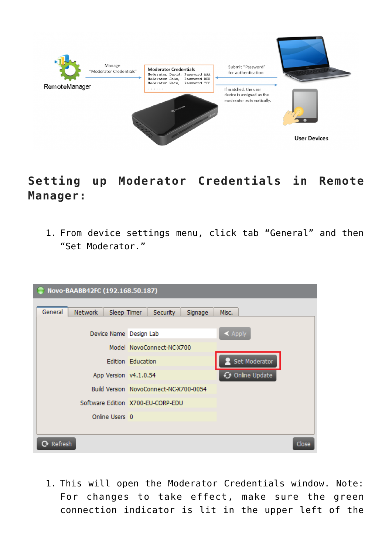

## **Setting up Moderator Credentials in Remote Manager:**

1. From device settings menu, click tab "General" and then "Set Moderator."

| Novo-BAABB42FC (192.168.50.187)   |                                        |                        |  |  |  |
|-----------------------------------|----------------------------------------|------------------------|--|--|--|
| General<br>Network<br>Sleep Timer | Security<br>Signage                    | Misc.                  |  |  |  |
| Device Name Design Lab            |                                        | $\blacktriangle$ Apply |  |  |  |
|                                   | Model NovoConnect-NC-X700              |                        |  |  |  |
|                                   | Edition Education                      | Set Moderator          |  |  |  |
| App Version v4.1.0.54             |                                        | ← Online Update        |  |  |  |
|                                   | Build Version NovoConnect-NC-X700-0054 |                        |  |  |  |
|                                   | Software Edition X700-EU-CORP-EDU      |                        |  |  |  |
| Online Users 0                    |                                        |                        |  |  |  |
|                                   |                                        |                        |  |  |  |
| Refresh                           |                                        | Close                  |  |  |  |

1. This will open the Moderator Credentials window. Note: For changes to take effect, make sure the green connection indicator is lit in the upper left of the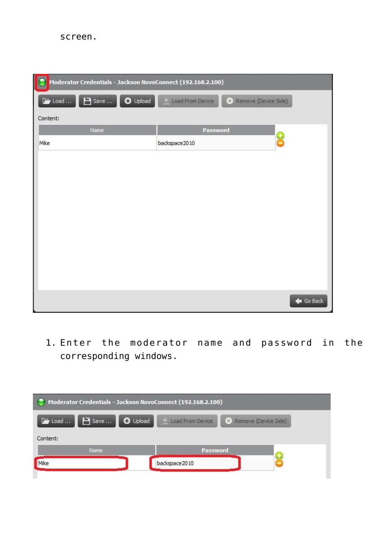

1. Enter the moderator name and password in the corresponding windows.

| Moderator Credentials - Jackson NovoConnect (192.168.2.100) |                  |                        |  |
|-------------------------------------------------------------|------------------|------------------------|--|
| <b>B</b> Save    O Upload<br>$\rightarrow$ Load             | Load From Device | X Remove (Device Side) |  |
| Content:                                                    |                  |                        |  |
| Name                                                        | Password         |                        |  |
|                                                             | backspace 2010   |                        |  |
|                                                             |                  |                        |  |